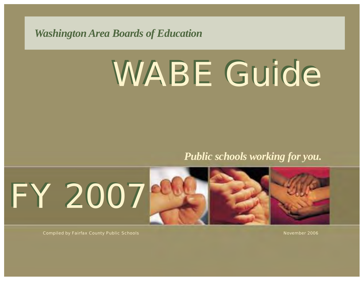*Washington Area Boards of Education*

# WABE Guide WABE Guide

*Public schools working for you.*



Compiled by Fairfax County Public Schools November 2006 (November 2006) and the state of the state of the state  $\sim$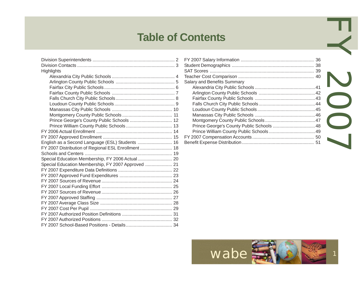### **Table of Contents**

| Highlights                                          |
|-----------------------------------------------------|
|                                                     |
|                                                     |
|                                                     |
|                                                     |
|                                                     |
|                                                     |
|                                                     |
|                                                     |
|                                                     |
|                                                     |
|                                                     |
|                                                     |
| English as a Second Language (ESL) Students  16     |
| FY 2007 Distribution of Regional ESL Enrollment  18 |
|                                                     |
| Special Education Membership, FY 2006 Actual 20     |
| Special Education Membership, FY 2007 Approved  21  |
|                                                     |
|                                                     |
|                                                     |
|                                                     |
|                                                     |
|                                                     |
|                                                     |
|                                                     |
|                                                     |
|                                                     |
|                                                     |

| <b>Contents</b>                    |  |
|------------------------------------|--|
|                                    |  |
| <b>Salary and Benefits Summary</b> |  |
|                                    |  |
|                                    |  |
|                                    |  |
|                                    |  |

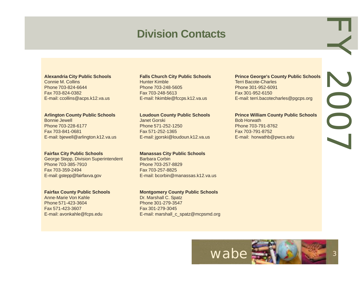### **Division Contacts**

#### **Alexandria City Public Schools**

Connie M. Collins Phone 703-824-6644 Fax 703-824-0382 E-mail: ccollins@acps.k12.va.us

#### **Arlington County Public Schools**

Bonnie Jewell Phone 703-228-6177 Fax 703-841-0681 E-mail: bjewell@arlington.k12.va.us

#### **Fairfax City Public Schools**

George Stepp, Division Superintendent Phone 703-385-7910 Fax 703-359-2494 E-mail: gstepp@fairfaxva.gov

#### **Fairfax County Public Schools**

Anne-Marie Von Kahle Phone 571-423-3604 Fax 571-423-3607 E-mail: avonkahle@fcps.edu

#### **Falls Church City Public Schools**

Hunter Kimble Phone 703-248-5605 Fax 703-248-5613 E-mail: hkimble@fccps.k12.va.us

#### **Loudoun County Public Schools**

Janet Gorski Phone 571-252-1250 Fax 571-252-1365 E-mail: jgorski@loudoun.k12.va.us

#### **Manassas City Public Schools**

Barbara Corbin Phone 703-257-8829 Fax 703-257-8825 E-mail: bcorbin@manassas.k12.va.us

#### **Montgomery County Public Schools**

Dr. Marshall C. Spatz Phone 301-279-3547 Fax 301-279-3045 E-mail: marshall\_c\_spatz@mcpsmd.org

#### **Prince George's County Public Schools** Terri Bacote-Charles Phone 301-952-6091 Fax 301-952-6150 E-mail: terri.bacotecharles@pgcps.org

EY 2007

VOOJ

#### **Prince William County Public Schools**

Bob Horwath Phone 703-791-8762 Fax 703-791-8752 E-mail: horwathb@pwcs.edu

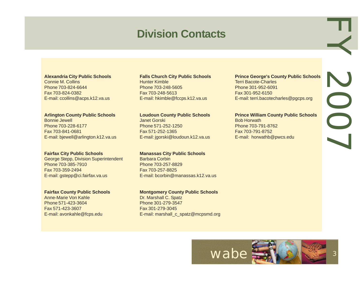### **Division Contacts**

#### **Alexandria City Public Schools**

Connie M. Collins Phone 703-824-6644 Fax 703-824-0382 E-mail: ccollins@acps.k12.va.us

#### **Arlington County Public Schools**

Bonnie Jewell Phone 703-228-6177 Fax 703-841-0681 E-mail: bjewell@arlington.k12.va.us

#### **Fairfax City Public Schools**

George Stepp, Division Superintendent Phone 703-385-7910 Fax 703-359-2494 E-mail: gstepp@ci.fairfax.va.us

#### **Fairfax County Public Schools**

Anne-Marie Von Kahle Phone 571-423-3604 Fax 571-423-3607 E-mail: avonkahle@fcps.edu

#### **Falls Church City Public Schools**

Hunter Kimble Phone 703-248-5605 Fax 703-248-5613 E-mail: hkimble@fccps.k12.va.us

#### **Loudoun County Public Schools**

Janet Gorski Phone 571-252-1250 Fax 571-252-1365 E-mail: jgorski@loudoun.k12.va.us

#### **Manassas City Public Schools**

Barbara Corbin Phone 703-257-8829 Fax 703-257-8825 E-mail: bcorbin@manassas.k12.va.us

#### **Montgomery County Public Schools**

Dr. Marshall C. Spatz Phone 301-279-3547 Fax 301-279-3045 E-mail: marshall\_c\_spatz@mcpsmd.org

#### **Prince George's County Public Schools** Terri Bacote-Charles Phone 301-952-6091 Fax 301-952-6150 E-mail: terri.bacotecharles@pgcps.org

#### **Prince William County Public Schools**

Bob Horwath Phone 703-791-8762 Fax 703-791-8752 E-mail: horwathb@pwcs.edu



EY 2007

JOOZ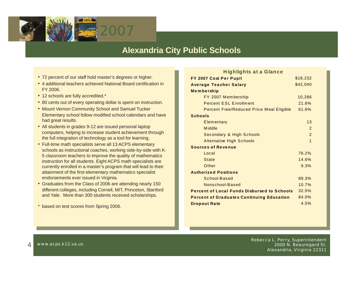

### **Alexandria City Public Schools**

- 72 percent of our staff hold master's degrees or higher.
- 4 additional teachers achieved National Board certification in FY 2006.
- 12 schools are fully accredited.\*
- 80 cents out of every operating dollar is spent on instruction.
- Mount Vernon Community School and Samuel Tucker Elementary school follow modified school calendars and have had great results.
- All students in grades 9-12 are issued personal laptop computers, helping to increase student achievement through the full integration of technology as a tool for learning.
- Full-time math specialists serve all 13 ACPS elementary schools as instructional coaches, working side-by-side with K-5 classroom teachers to improve the quality of mathematics instruction for all students. Eight ACPS math specialists are currently enrolled in a master's program that will lead to their attainment of the first elementary mathematics specialist endorsements ever issued in Virginia.
- Graduates from the Class of 2006 are attending nearly 150 different colleges, including Cornell, MIT, Princeton, Stanford and Yale. More than 300 students received scholarships.
- \* based on test scores from Spring 2006.

| <b>Highlights at a Glance</b>                      |                |
|----------------------------------------------------|----------------|
| FY 2007 Cost Per Pupil                             | \$18,232       |
| <b>Average Teacher Salary</b>                      | \$42,040       |
| Membership                                         |                |
| FY 2007 Membership                                 | 10,286         |
| <b>Percent ESL Enrollment</b>                      | 21.6%          |
| <b>Percent Free/Reduced Price Meal Eligible</b>    | 61.6%          |
| <b>Schools</b>                                     |                |
| Elementary                                         | 13             |
| Middle                                             | $\mathcal{P}$  |
| Secondary & High Schools                           | $\mathcal{P}$  |
| <b>Alternative High Schools</b>                    | $\overline{1}$ |
| <b>Sources of Revenue</b>                          |                |
| Local                                              | 76.2%          |
| <b>State</b>                                       | 14.6%          |
| Other                                              | 9.3%           |
| <b>Authorized Positions</b>                        |                |
| School-Based                                       | 89.3%          |
| Nonschool-Based                                    | 10.7%          |
| <b>Percent of Local Funds Disbursed to Schools</b> | 32.5%          |
| <b>Percent of Graduates Continuing Education</b>   | 84.0%          |
| <b>Dropout Rate</b>                                | 4.5%           |

4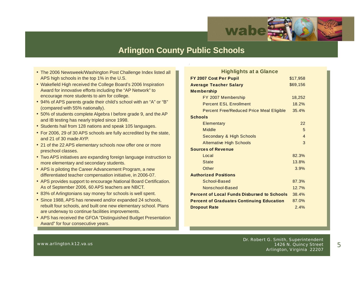

### **Arlington County Public Schools**

- The 2006 Newsweek/Washington Post Challenge Index listed all APS high schools in the top 1% in the U.S.
- Wakefield High received the College Board's 2006 Inspiration Award for innovative efforts including the "AP Network" to encourage more students to aim for college.
- 94% of APS parents grade their child's school with an "A" or "B" (compared with 55% nationally).
- 50% of students complete Algebra I before grade 9, and the AP and IB testing has nearly tripled since 1998.
- Students hail from 128 nations and speak 105 languages.
- For 2006, 29 of 30 APS schools are fully accredited by the state, and 21 of 30 made AYP.
- 21 of the 22 APS elementary schools now offer one or more preschool classes.
- Two APS initiatives are expanding foreign language instruction to more elementary and secondary students.
- APS is piloting the Career Advancement Program, a new differentiated teacher compensation initiative, in 2006-07.
- APS provides support to encourage National Board Certification. As of September 2006, 60 APS teachers are NBCT.
- 83% of Arlingtonians say money for schools is well spent.
- Since 1988, APS has renewed and/or expanded 24 schools, rebuilt four schools, and built one new elementary school. Plans are underway to continue facilities improvements.
- APS has received the GFOA "Distinguished Budget Presentation Award" for four consecutive years.

| <b>Highlights at a Glance</b>                      |                |
|----------------------------------------------------|----------------|
| FY 2007 Cost Per Pupil                             | \$17,958       |
| <b>Average Teacher Salary</b>                      | \$69,156       |
| <b>Membership</b>                                  |                |
| FY 2007 Membership                                 | 18,252         |
| <b>Percent ESL Enrollment</b>                      | 18.2%          |
| <b>Percent Free/Reduced Price Meal Eligible</b>    | 35.4%          |
| <b>Schools</b>                                     |                |
| Elementary                                         | 22             |
| Middle                                             | 5              |
| Secondary & High Schools                           | $\overline{A}$ |
| <b>Alternative High Schools</b>                    | 3              |
| <b>Sources of Revenue</b>                          |                |
| Local                                              | 82.3%          |
| <b>State</b>                                       | 13.8%          |
| Other                                              | 3.9%           |
| <b>Authorized Positions</b>                        |                |
| School-Based                                       | 87.3%          |
| Nonschool-Based                                    | 12.7%          |
| <b>Percent of Local Funds Disbursed to Schools</b> | 38.4%          |
| <b>Percent of Graduates Continuing Education</b>   | 87.0%          |
| <b>Dropout Rate</b>                                | 2.4%           |

www.arlington.k12.va.us

Dr. Robert G. Smith, Superintendent 1426 N. Quincy Street Arlington, Virginia 22207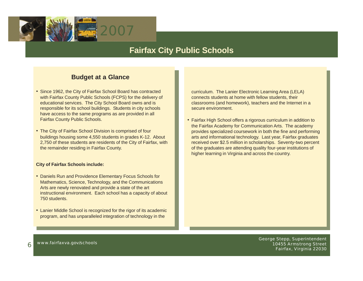

### **Fairfax City Public Schools**

#### **Budget at a Glance**

- Since 1962, the City of Fairfax School Board has contracted with Fairfax County Public Schools (FCPS) for the delivery of educational services. The City School Board owns and is responsible for its school buildings. Students in city schools have access to the same programs as are provided in all Fairfax County Public Schools.
- The City of Fairfax School Division is comprised of four buildings housing some 4,550 students in grades K-12. About 2,750 of these students are residents of the City of Fairfax, with the remainder residing in Fairfax County.

#### **City of Fairfax Schools include:**

- Daniels Run and Providence Elementary Focus Schools for Mathematics, Science, Technology, and the Communications Arts are newly renovated and provide a state of the art instructional environment. Each school has a capacity of about 750 students.
- Lanier Middle School is recognized for the rigor of its academic program, and has unparalleled integration of technology in the

curriculum. The Lanier Electronic Learning Area (LELA) connects students at home with fellow students, their classrooms (and homework), teachers and the Internet in a secure environment.

• Fairfax High School offers a rigorous curriculum in addition to the Fairfax Academy for Communication Arts. The academy provides specialized coursework in both the fine and performing arts and informational technology. Last year, Fairfax graduates received over \$2.5 million in scholarships. Seventy-two percent of the graduates are attending quality four-year institutions of higher learning in Virginia and across the country.

www.fairfaxva.gov/schools<br>https://www.fairfaxva.gov/schools George Stepp, Superintendent<br>and Street (10455 Armstrong Street) المصري المصري المصري المصري المصري المصري المصري المصري المصري المصري المص 10455 Armstrong Street Fairfax, Virginia 22030

6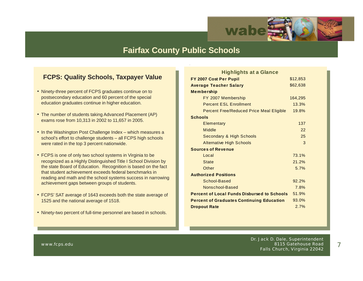

### **Fairfax County Public Schools**

#### **FCPS: Quality Schools, Taxpayer Value**

- Ninety-three percent of FCPS graduates continue on to postsecondary education and 60 percent of the special education graduates continue in higher education.
- The number of students taking Advanced Placement (AP) exams rose from 10,313 in 2002 to 11,657 in 2005.
- In the Washington Post Challenge Index which measures a school's effort to challenge students – all FCPS high schools were rated in the top 3 percent nationwide.
- FCPS is one of only two school systems in Virginia to be recognized as a Highly Distinguished Title I School Division by the state Board of Education. Recognition is based on the fact that student achievement exceeds federal benchmarks in reading and math and the school systems success in narrowing achievement gaps between groups of students.
- FCPS' SAT average of 1643 exceeds both the state average of 1525 and the national average of 1518.
- Ninety-two percent of full-time personnel are based in schools.

| <b>Highlights at a Glance</b>                      |          |
|----------------------------------------------------|----------|
| FY 2007 Cost Per Pupil                             | \$12,853 |
| <b>Average Teacher Salary</b>                      | \$62,638 |
| <b>Membership</b>                                  |          |
| FY 2007 Membership                                 | 164,295  |
| <b>Percent ESL Enrollment</b>                      | 13.3%    |
| <b>Percent Free/Reduced Price Meal Eligible</b>    | 19.8%    |
| <b>Schools</b>                                     |          |
| <b>Elementary</b>                                  | 137      |
| Middle                                             | 22       |
| Secondary & High Schools                           | 25       |
| <b>Alternative High Schools</b>                    | 3        |
| <b>Sources of Revenue</b>                          |          |
| Local                                              | 73.1%    |
| <b>State</b>                                       | 21.2%    |
| Other                                              | 5.7%     |
| <b>Authorized Positions</b>                        |          |
| School-Based                                       | 92.2%    |
| Nonschool-Based                                    | 7.8%     |
| <b>Percent of Local Funds Disbursed to Schools</b> | 51.9%    |
| <b>Percent of Graduates Continuing Education</b>   | 93.0%    |
| <b>Dropout Rate</b>                                | 2.7%     |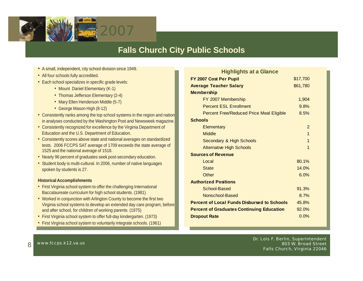

### **Falls Church City Public Schools**

- **A** small, independent, city school division since 1949.
- All four schools fully accredited.
- Each school specializes in specific grade levels:
	- Mount Daniel Elementary (K-1)
	- Thomas Jefferson Elementary (2-4)
	- Mary Ellen Henderson Middle (5-7)
	- George Mason High (8-12)
- Consistently ranks among the top school systems in the region and nation in analyses conducted by the Washington Post and Newsweek magazine.
- Consistently recognized for excellence by the Virginia Department of Education and the U.S. Department of Education.
- Consistently scores above state and national averages on standardized tests. 2006 FCCPS SAT average of 1709 exceeds the state average of 1525 and the national average of 1518.
- Nearly 96 percent of graduates seek post-secondary education.
- Student body is multi-cultural. In 2006, number of native languages spoken by students is 27.

#### **Historical Accomplishments**

- First Virginia school system to offer the challenging International Baccalaureate curriculum for high school students. (1981)
- Worked in conjunction with Arlington County to become the first two Virginia school systems to develop an extended day care program, before and after school, for children of working parents. (1975)
- First Virginia school system to offer full-day kindergarten. (1973)
- First Virginia school system to voluntarily integrate schools. (1961)

| <b>Highlights at a Glance</b>                      |          |
|----------------------------------------------------|----------|
| FY 2007 Cost Per Pupil                             | \$17,700 |
| <b>Average Teacher Salary</b>                      | \$61,780 |
| <b>Membership</b>                                  |          |
| FY 2007 Membership                                 | 1,904    |
| <b>Percent ESL Enrollment</b>                      | 9.8%     |
| <b>Percent Free/Reduced Price Meal Eligible</b>    | 8.5%     |
| <b>Schools</b>                                     |          |
| Elementary                                         | 2        |
| <b>Middle</b>                                      | 1        |
| Secondary & High Schools                           | 1        |
| <b>Alternative High Schools</b>                    | 1        |
| <b>Sources of Revenue</b>                          |          |
| Local                                              | 80.1%    |
| <b>State</b>                                       | 14.0%    |
| Other                                              | 6.0%     |
| <b>Authorized Positions</b>                        |          |
| School-Based                                       | 91.3%    |
| Nonschool-Based                                    | 8.7%     |
| <b>Percent of Local Funds Disbursed to Schools</b> | 45.8%    |
| <b>Percent of Graduates Continuing Education</b>   | 92.0%    |
| <b>Dropout Rate</b>                                | 0.0%     |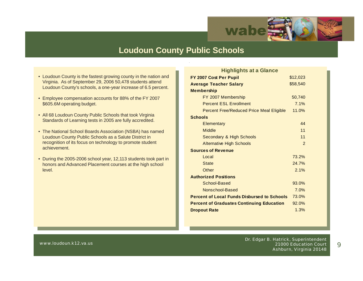

### **Loudoun County Public Schools**

- Loudoun County is the fastest growing county in the nation and Virginia. As of September 29, 2006 50,478 students attend Loudoun County's schools, a one-year increase of 6.5 percent.
- Employee compensation accounts for 88% of the FY 2007 \$605.6M operating budget.
- All 68 Loudoun County Public Schools that took Virginia Standards of Learning tests in 2005 are fully accredited.
- The National School Boards Association (NSBA) has named Loudoun County Public Schools as a Salute District in recognition of its focus on technology to promote student achievement.
- During the 2005-2006 school year, 12,113 students took part in honors and Advanced Placement courses at the high school level.

| <b>Highlights at a Glance</b>                      |                |
|----------------------------------------------------|----------------|
| FY 2007 Cost Per Pupil                             | \$12,023       |
| <b>Average Teacher Salary</b>                      | \$58,540       |
| <b>Membership</b>                                  |                |
| FY 2007 Membership                                 | 50,740         |
| <b>Percent ESL Enrollment</b>                      | 7.1%           |
| <b>Percent Free/Reduced Price Meal Eligible</b>    | 11.0%          |
| <b>Schools</b>                                     |                |
| Elementary                                         | 44             |
| <b>Middle</b>                                      | 11             |
| <b>Secondary &amp; High Schools</b>                | 11             |
| <b>Alternative High Schools</b>                    | $\overline{2}$ |
| <b>Sources of Revenue</b>                          |                |
| Local                                              | 73.2%          |
| <b>State</b>                                       | 24.7%          |
| Other                                              | 2.1%           |
| <b>Authorized Positions</b>                        |                |
| School-Based                                       | 93.0%          |
| Nonschool-Based                                    | 7.0%           |
| <b>Percent of Local Funds Disbursed to Schools</b> | 73.0%          |
| <b>Percent of Graduates Continuing Education</b>   | 92.0%          |
| <b>Dropout Rate</b>                                | 1.3%           |
|                                                    |                |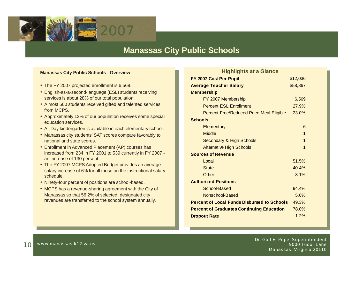

### **Manassas City Public Schools**

#### **Manassas City Public Schools - Overview**

- The FY 2007 projected enrollment is 6,569.
- English-as-a-second-language (ESL) students receiving services is about 28% of our total population.
- Almost 500 students received gifted and talented services from MCPS.
- Approximately 12% of our population receives some special education services.
- All Day kindergarten is available in each elementary school.
- Manassas city students' SAT scores compare favorably to national and state scores.
- Enrollment in Advanced Placement (AP) courses has increased from 234 in FY 2001 to 539 currently in FY 2007 an increase of 130 percent.
- The FY 2007 MCPS Adopted Budget provides an average salary increase of 6% for all those on the instructional salary schedule.
- Ninety-four percent of positions are school-based.
- MCPS has a revenue-sharing agreement with the City of Manassas so that 56.2% of selected, designated city revenues are transferred to the school system annually.

| <b>Highlights at a Glance</b>                      |          |
|----------------------------------------------------|----------|
| FY 2007 Cost Per Pupil                             | \$12,036 |
| <b>Average Teacher Salary</b>                      | \$58,867 |
| <b>Membership</b>                                  |          |
| FY 2007 Membership                                 | 6,569    |
| <b>Percent ESL Enrollment</b>                      | 27.9%    |
| Percent Free/Reduced Price Meal Eligible           | 23.0%    |
| Schools                                            |          |
| Elementary                                         | 6        |
| <b>Middle</b>                                      | 1        |
| Secondary & High Schools                           | 1        |
| <b>Alternative High Schools</b>                    | 1        |
| <b>Sources of Revenue</b>                          |          |
| Local                                              | 51.5%    |
| <b>State</b>                                       | 40.4%    |
| Other                                              | 8.1%     |
| <b>Authorized Positions</b>                        |          |
| School-Based                                       | 94.4%    |
| Nonschool-Based                                    | 5.6%     |
| <b>Percent of Local Funds Disbursed to Schools</b> | 49.3%    |
| <b>Percent of Graduates Continuing Education</b>   | 78.0%    |
| <b>Dropout Rate</b>                                | 1.2%     |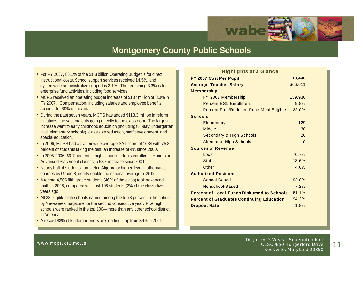

### **Montgomery County Public Schools**

- For FY 2007, 80.1% of the \$1.8 billion Operating Budget is for direct instructional costs. School support services received 14.5%, and systemwide administrative support is 2.1%. The remaining 3.3% is for enterprise fund activities, including food services.
- MCPS received an operating budget increase of \$137 million or 8.0% in FY 2007. Compensation, including salaries and employee benefits account for 89% of this total.
- During the past seven years, MCPS has added \$113.3 million in reform initiatives, the vast majority going directly to the classroom. The largest increase went to early childhood education (including full-day kindergarten in all elementary schools), class size reduction, staff development, and special education.
- In 2006, MCPS had a systemwide average SAT score of 1634 with 75.8 percent of students taking the test, an increase of 4% since 2000.
- In 2005-2006, 69.7 percent of high school students enrolled in Honors or Advanced Placement classes, a 58% increase since 2001.
- Nearly half of students completed Algebra or higher-level mathematics courses by Grade 8, nearly double the national average of 25%.
- A record 4,506 fifth grade students (46% of the class) took advanced math in 2006, compared with just 196 students (2% of the class) five years ago.
- All 23 eligible high schools named among the top 3 percent in the nation by Newsweek magazine for the second consecutive year. Five high schools were ranked in the top 100—more than any other school district in America.
- A record 88% of kindergarteners are reading—up from 39% in 2001.

| <b>Highlights at a Glance</b>                      |          |
|----------------------------------------------------|----------|
| FY 2007 Cost Per Pupil                             | \$13,446 |
| <b>Average Teacher Salary</b>                      | \$66,611 |
| <b>Membership</b>                                  |          |
| FY 2007 Membership                                 | 139,936  |
| <b>Percent ESL Enrollment</b>                      | 9.8%     |
| <b>Percent Free/Reduced Price Meal Eligible</b>    | 22.0%    |
| <b>Schools</b>                                     |          |
| <b>Elementary</b>                                  | 129      |
| <b>Middle</b>                                      | 38       |
| <b>Secondary &amp; High Schools</b>                | 26       |
| <b>Alternative High Schools</b>                    | $\Omega$ |
| <b>Sources of Revenue</b>                          |          |
| Local                                              | 76.7%    |
| <b>State</b>                                       | 18.6%    |
| Other                                              | 4.6%     |
| <b>Authorized Positions</b>                        |          |
| School-Based                                       | 92.8%    |
| Nonschool-Based                                    | 7.2%     |
| <b>Percent of Local Funds Disbursed to Schools</b> | 61.1%    |
| <b>Percent of Graduates Continuing Education</b>   | 94.3%    |
| <b>Dropout Rate</b>                                | 1.8%     |

11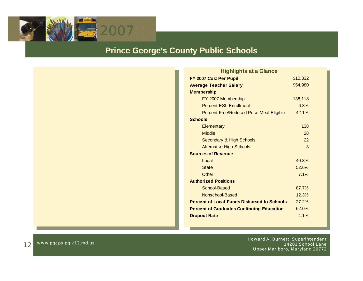

### **Prince George's County Public Schools**

| <b>Highlights at a Glance</b>                      |          |
|----------------------------------------------------|----------|
| FY 2007 Cost Per Pupil                             | \$10,332 |
| <b>Average Teacher Salary</b>                      | \$54,980 |
| <b>Membership</b>                                  |          |
| FY 2007 Membership                                 | 138,118  |
| <b>Percent ESL Enrollment</b>                      | 6.3%     |
| <b>Percent Free/Reduced Price Meal Eligible</b>    | 42.1%    |
| <b>Schools</b>                                     |          |
| Elementary                                         | 138      |
| <b>Middle</b>                                      | 28       |
| Secondary & High Schools                           | 22       |
| <b>Alternative High Schools</b>                    | 3        |
| <b>Sources of Revenue</b>                          |          |
| Local                                              | 40.3%    |
| <b>State</b>                                       | 52.6%    |
| Other                                              | 7.1%     |
| <b>Authorized Positions</b>                        |          |
| School-Based                                       | 87.7%    |
| Nonschool-Based                                    | 12.3%    |
| <b>Percent of Local Funds Disbursed to Schools</b> | 27.2%    |
| <b>Percent of Graduates Continuing Education</b>   | 62.0%    |
| <b>Dropout Rate</b>                                | 4.1%     |
|                                                    |          |

www.pgcps.pg.k12.md.us ether www.pgcps.pg.k12.md.us http://www.pgcps.pg.k12.md.us http://www.pgcps.pg.k12.md.us 14201 School Lane Upper Marlboro, Maryland 20772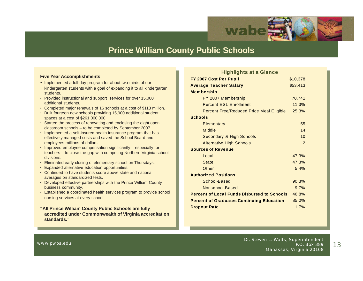

### **Prince William County Public Schools**

#### **Five Year Accomplishments**

- Implemented a full-day program for about two-thirds of our kindergarten students with a goal of expanding it to all kindergarten students.
- Provided instructional and support services for over 15,000 additional students.
- Completed major renewals of 16 schools at a cost of \$113 million.
- Built fourteen new schools providing 15,900 additional student spaces at a cost of \$261,000,000.
- Started the process of renovating and enclosing the eight open classroom schools – to be completed by September 2007.
- Implemented a self-insured health insurance program that has effectively managed costs and saved the School Board and employees millions of dollars.
- Improved employee compensation significantly especially for teachers – to close the gap with competing Northern Virginia school divisions.
- Eliminated early closing of elementary school on Thursdays.
- Expanded alternative education opportunities.
- Continued to have students score above state and national averages on standardized tests.
- Developed effective partnerships with the Prince William County business community.
- Established a coordinated health services program to provide school nursing services at every school.
- **"All Prince William County Public Schools are fully accredited under Commonwealth of Virginia accreditation standards."**

| <b>Highlights at a Glance</b>                      |               |
|----------------------------------------------------|---------------|
| FY 2007 Cost Per Pupil                             | \$10,378      |
| <b>Average Teacher Salary</b>                      | \$53,413      |
| <b>Membership</b>                                  |               |
| FY 2007 Membership                                 | 70,741        |
| <b>Percent ESL Enrollment</b>                      | 11.3%         |
| <b>Percent Free/Reduced Price Meal Eligible</b>    | 25.3%         |
| <b>Schools</b>                                     |               |
| <b>Elementary</b>                                  | 55            |
| Middle                                             | 14            |
| <b>Secondary &amp; High Schools</b>                | 10            |
| <b>Alternative High Schools</b>                    | $\mathcal{P}$ |
| <b>Sources of Revenue</b>                          |               |
| Local                                              | 47.3%         |
| <b>State</b>                                       | 47.3%         |
| Other                                              | 5.4%          |
| <b>Authorized Positions</b>                        |               |
| School-Based                                       | 90.3%         |
| Nonschool-Based                                    | 9.7%          |
| <b>Percent of Local Funds Disbursed to Schools</b> | 46.8%         |
| <b>Percent of Graduates Continuing Education</b>   | 85.0%         |
| <b>Dropout Rate</b>                                | 1.7%          |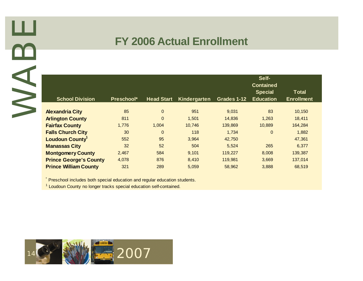

### **FY 2006 Actual Enrollment**

| <b>School Division</b>                                                                                                                                        | Preschool* | <b>Head Start</b> | Kindergarten | Grades 1-12 | Self-<br><b>Contained</b><br><b>Special</b><br><b>Education</b> | <b>Total</b><br><b>Enrollment</b> |
|---------------------------------------------------------------------------------------------------------------------------------------------------------------|------------|-------------------|--------------|-------------|-----------------------------------------------------------------|-----------------------------------|
| <b>Alexandria City</b>                                                                                                                                        | 85         | $\mathbf{0}$      | 951          | 9,031       | 83                                                              | 10,150                            |
| <b>Arlington County</b>                                                                                                                                       | 811        | $\overline{0}$    | 1,501        | 14,836      | 1,263                                                           | 18,411                            |
| <b>Fairfax County</b>                                                                                                                                         | 1,776      | 1,004             | 10,746       | 139,869     | 10,889                                                          | 164,284                           |
| <b>Falls Church City</b>                                                                                                                                      | 30         | $\mathbf{0}$      | 118          | 1,734       | $\overline{0}$                                                  | 1,882                             |
| Loudoun County <sup>1</sup>                                                                                                                                   | 552        | 95                | 3,964        | 42,750      |                                                                 | 47,361                            |
| <b>Manassas City</b>                                                                                                                                          | 32         | 52                | 504          | 5,524       | 265                                                             | 6,377                             |
| <b>Montgomery County</b>                                                                                                                                      | 2,467      | 584               | 9,101        | 119,227     | 8,008                                                           | 139,387                           |
| <b>Prince George's County</b>                                                                                                                                 | 4,078      | 876               | 8,410        | 119,981     | 3,669                                                           | 137,014                           |
| <b>Prince William County</b>                                                                                                                                  | 321        | 289               | 5,059        | 58,962      | 3,888                                                           | 68,519                            |
| * Preschool includes both special education and regular education students.<br><sup>1</sup> Loudoun County no longer tracks special education self-contained. |            |                   |              |             |                                                                 |                                   |

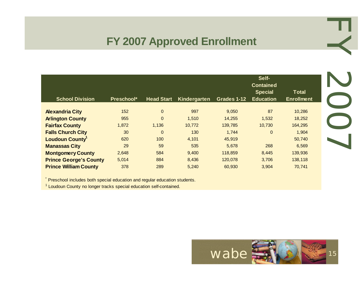### **FY 2007 Approved Enrollment**

| <b>School Division</b>        | Preschool* | <b>Head Start</b> | Kindergarten | Grades 1-12 | Self-<br><b>Contained</b><br><b>Special</b><br><b>Education</b> | <b>Total</b><br><b>Enrollment</b> |
|-------------------------------|------------|-------------------|--------------|-------------|-----------------------------------------------------------------|-----------------------------------|
| <b>Alexandria City</b>        | 152        | $\mathbf 0$       | 997          | 9,050       | 87                                                              | 10,286                            |
| <b>Arlington County</b>       | 955        | $\mathbf 0$       | 1,510        | 14,255      | 1,532                                                           | 18,252                            |
| <b>Fairfax County</b>         | 1,872      | 1,136             | 10,772       | 139,785     | 10,730                                                          | 164,295                           |
| <b>Falls Church City</b>      | 30         | $\mathbf 0$       | 130          | 1,744       | $\Omega$                                                        | 1,904                             |
| <b>Loudoun County</b>         | 620        | 100               | 4,101        | 45,919      |                                                                 | 50,740                            |
| <b>Manassas City</b>          | 29         | 59                | 535          | 5,678       | 268                                                             | 6,569                             |
| <b>Montgomery County</b>      | 2,648      | 584               | 9,400        | 118,859     | 8,445                                                           | 139,936                           |
| <b>Prince George's County</b> | 5,014      | 884               | 8,436        | 120,078     | 3,706                                                           | 138,118                           |
| <b>Prince William County</b>  | 378        | 289               | 5,240        | 60,930      | 3,904                                                           | 70,741                            |

\* Preschool includes both special education and regular education students.

<sup>1</sup> Loudoun County no longer tracks special education self-contained.



EY 2007 N 2007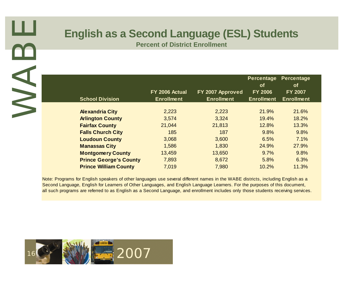| <b>School Division</b>                                                                                                                                                                                                                                                                                                                                                                                                                                             | FY 2006 Actual<br><b>Enrollment</b> | FY 2007 Approved<br><b>Enrollment</b> | <b>Percentage</b><br>of<br><b>FY 2006</b><br><b>Enrollment</b> | <b>Percentage</b><br><b>of</b><br><b>FY 2007</b><br><b>Enrollment</b> |
|--------------------------------------------------------------------------------------------------------------------------------------------------------------------------------------------------------------------------------------------------------------------------------------------------------------------------------------------------------------------------------------------------------------------------------------------------------------------|-------------------------------------|---------------------------------------|----------------------------------------------------------------|-----------------------------------------------------------------------|
| <b>Alexandria City</b>                                                                                                                                                                                                                                                                                                                                                                                                                                             | 2,223                               | 2,223                                 | 21.9%                                                          | 21.6%                                                                 |
| <b>Arlington County</b>                                                                                                                                                                                                                                                                                                                                                                                                                                            | 3,574                               | 3,324                                 | 19.4%                                                          | 18.2%                                                                 |
| <b>Fairfax County</b>                                                                                                                                                                                                                                                                                                                                                                                                                                              | 21,044                              | 21,813                                | 12.8%                                                          | 13.3%                                                                 |
| <b>Falls Church City</b>                                                                                                                                                                                                                                                                                                                                                                                                                                           | 185                                 | 187                                   | 9.8%                                                           | 9.8%                                                                  |
| <b>Loudoun County</b>                                                                                                                                                                                                                                                                                                                                                                                                                                              | 3,068                               | 3,600                                 | 6.5%                                                           | 7.1%                                                                  |
| <b>Manassas City</b>                                                                                                                                                                                                                                                                                                                                                                                                                                               | 1,586                               | 1,830                                 | 24.9%                                                          | 27.9%                                                                 |
|                                                                                                                                                                                                                                                                                                                                                                                                                                                                    |                                     |                                       | 9.7%                                                           | 9.8%                                                                  |
|                                                                                                                                                                                                                                                                                                                                                                                                                                                                    | 7,893                               | 8,672                                 | 5.8%                                                           | 6.3%                                                                  |
| <b>Prince William County</b>                                                                                                                                                                                                                                                                                                                                                                                                                                       | 7,019                               | 7,980                                 | 10.2%                                                          | 11.3%                                                                 |
| <b>Montgomery County</b><br><b>Prince George's County</b><br>Note: Programs for English speakers of other languages use several different names in the WABE districts, including English as a<br>Second Language, English for Learners of Other Languages, and English Language Learners. For the purposes of this document,<br>all such programs are referred to as English as a Second Language, and enrollment includes only those students receiving services. | 13,459                              | 13,650                                |                                                                |                                                                       |

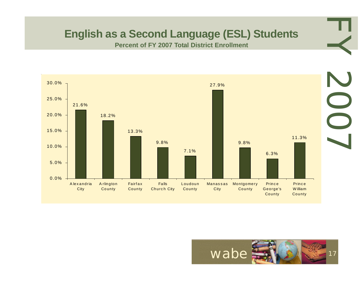### **English as a Second Language (ESL) Students**

**Percent of FY 2007 Total District Enrollment**



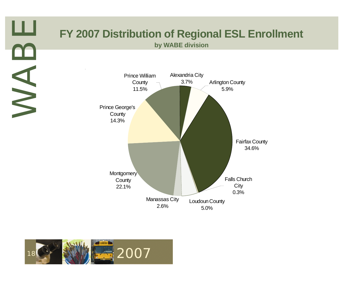**by WABE division**



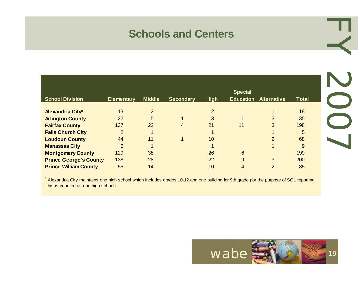### **Schools and Centers**

|                               |                   |                |                  |                | <b>Special</b>   |                    |              |
|-------------------------------|-------------------|----------------|------------------|----------------|------------------|--------------------|--------------|
| <b>School Division</b>        | <b>Elementary</b> | <b>Middle</b>  | <b>Secondary</b> | <b>High</b>    | <b>Education</b> | <b>Alternative</b> | <b>Total</b> |
|                               |                   |                |                  |                |                  |                    |              |
| <b>Alexandria City*</b>       | 13                | $\overline{2}$ |                  | $\overline{2}$ |                  |                    | 18           |
| <b>Arlington County</b>       | 22                | 5              |                  | 3              |                  | 3                  | 35           |
| <b>Fairfax County</b>         | 137               | 22             | 4                | 21             | 11               | 3                  | 198          |
| <b>Falls Church City</b>      | $\overline{2}$    |                |                  |                |                  |                    | 5            |
| <b>Loudoun County</b>         | 44                | 11             |                  | 10             |                  | 2                  | 68           |
| <b>Manassas City</b>          | 6                 |                |                  |                |                  |                    | 9            |
| <b>Montgomery County</b>      | 129               | 38             |                  | 26             | 6                |                    | 199          |
| <b>Prince George's County</b> | 138               | 28             |                  | 22             | 9                | 3                  | 200          |
| <b>Prince William County</b>  | 55                | 14             |                  | 10             |                  | 2                  | 85           |

\* Alexandria City maintains one high school which includes grades 10-12 and one building for 9th grade (for the purpose of SOL reporting this is counted as one high school).



EY 2007

LOOZ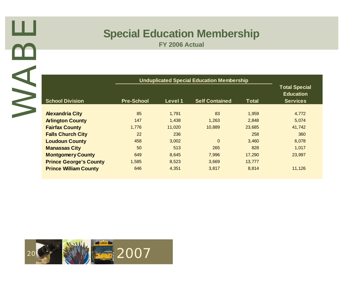# **Special Education Membership**

|                               |                   |         | <b>Unduplicated Special Education Membership</b> |              | <b>Total Special</b><br><b>Education</b> |
|-------------------------------|-------------------|---------|--------------------------------------------------|--------------|------------------------------------------|
| <b>School Division</b>        | <b>Pre-School</b> | Level 1 | <b>Self Contained</b>                            | <b>Total</b> | <b>Services</b>                          |
| <b>Alexandria City</b>        | 85                | 1,791   | 83                                               | 1,959        | 4,772                                    |
| <b>Arlington County</b>       | 147               | 1,438   | 1,263                                            | 2,848        | 5,074                                    |
| <b>Fairfax County</b>         | 1,776             | 11,020  | 10,889                                           | 23,685       | 41,742                                   |
| <b>Falls Church City</b>      | 22                | 236     |                                                  | 258          | 360                                      |
| <b>Loudoun County</b>         | 458               | 3,002   | $\overline{0}$                                   | 3,460        | 6,078                                    |
| <b>Manassas City</b>          | 50                | 513     | 265                                              | 828          | 1,017                                    |
| <b>Montgomery County</b>      | 649               | 8,645   | 7,996                                            | 17,290       | 23,997                                   |
| <b>Prince George's County</b> | 1,585             | 8,523   | 3,669                                            | 13,777       |                                          |
| <b>Prince William County</b>  | 646               | 4,351   | 3,817                                            | 8,814        | 11,126                                   |
|                               |                   |         |                                                  |              |                                          |

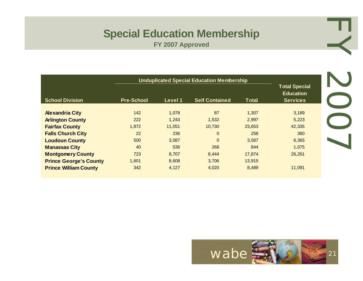# **Special Education Membership**

**FY 2007 Approved**

|                               |                   |         | <b>Unduplicated Special Education Membership</b> |              |                                                             |
|-------------------------------|-------------------|---------|--------------------------------------------------|--------------|-------------------------------------------------------------|
| <b>School Division</b>        | <b>Pre-School</b> | Level 1 | <b>Self Contained</b>                            | <b>Total</b> | <b>Total Special</b><br><b>Education</b><br><b>Services</b> |
| <b>Alexandria City</b>        | 142               | 1.078   | 87                                               | 1.307        | 3,189                                                       |
| <b>Arlington County</b>       | 222               | 1.243   | 1,532                                            | 2,997        | 5,223                                                       |
| <b>Fairfax County</b>         | 1,872             | 11,051  | 10,730                                           | 23,653       | 42,335                                                      |
| <b>Falls Church City</b>      | 22                | 236     | $\overline{0}$                                   | 258          | 360                                                         |
| <b>Loudoun County</b>         | 500               | 3,087   | $\mathbf 0$                                      | 3,587        | 6,365                                                       |
| <b>Manassas City</b>          | 40                | 536     | 268                                              | 844          | 1,075                                                       |
| <b>Montgomery County</b>      | 723               | 8,707   | 8,444                                            | 17,874       | 26,261                                                      |
| <b>Prince George's County</b> | 1,601             | 8,608   | 3,706                                            | 13,915       |                                                             |
| <b>Prince William County</b>  | 342               | 4,127   | 4,020                                            | 8,489        | 11,091                                                      |



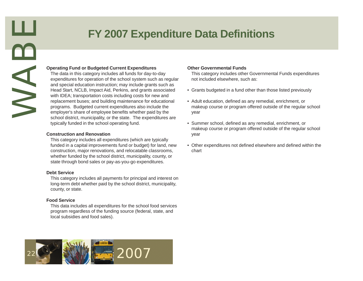### **FY 2007 Expenditure Data Definitions**

#### **Operating Fund or Budgeted Current Expenditures**

Example 19 and or Budgeted Current Expenditure<br>The data in this category includes all funds for day<br>approinting for operation of the school system summarized and special education instruction; may include grant<br>and special The data in this category includes all funds for day-to-day expenditures for operation of the school system such as regular and special education instruction; may include grants such as Head Start, NCLB, Impact Aid, Perkins, and grants associated with IDEA; transportation costs including costs for new and replacement buses; and building maintenance for educational programs. Budgeted current expenditures also include the employer's share of employee benefits whether paid by the school district, municipality, or the state. The expenditures are typically funded in the school operating fund.

#### **Construction and Renovation**

This category includes all expenditures (which are typically funded in a capital improvements fund or budget) for land, new construction, major renovations, and relocatable classrooms, whether funded by the school district, municipality, county, or state through bond sales or pay-as-you-go expenditures.

#### **Debt Service**

This category includes all payments for principal and interest on long-term debt whether paid by the school district, municipality, county, or state.

#### **Food Service**

This data includes all expenditures for the school food services program regardless of the funding source (federal, state, and local subsidies and food sales).

#### **Other Governmental Funds**

This category includes other Governmental Funds expenditures not included elsewhere, such as:

- Grants budgeted in a fund other than those listed previously
- Adult education, defined as any remedial, enrichment, or makeup course or program offered outside of the regular school year
- Summer school, defined as any remedial, enrichment, or makeup course or program offered outside of the regular school year
- Other expenditures not defined elsewhere and defined within the chart

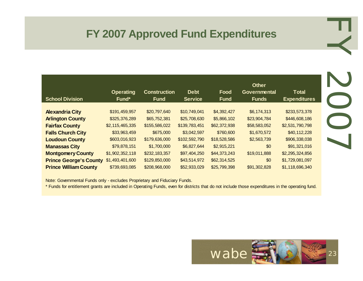### **FY 2007 Approved Fund Expenditures**

| <b>School Division</b>        | <b>Operating</b><br>Fund* | <b>Construction</b><br><b>Fund</b> | <b>Debt</b><br><b>Service</b> | Food<br><b>Fund</b> | <b>Other</b><br>Governmental<br><b>Funds</b> | <b>Total</b><br><b>Expenditures</b> |
|-------------------------------|---------------------------|------------------------------------|-------------------------------|---------------------|----------------------------------------------|-------------------------------------|
| <b>Alexandria City</b>        | \$191,459,957             | \$20,797,640                       | \$10,749,041                  | \$4,392,427         | \$6,174,313                                  | \$233,573,378                       |
| <b>Arlington County</b>       | \$325,376,289             | \$65,752,381                       | \$25,708,630                  | \$5,866,102         | \$23,904,784                                 | \$446,608,186                       |
| <b>Fairfax County</b>         | \$2,115,465,335           | \$155,586,022                      | \$139,783,451                 | \$62,372,938        | \$58,583,052                                 | \$2,531,790,798                     |
| <b>Falls Church City</b>      | \$33,963,459              | \$675,000                          | \$3,042,597                   | \$760,600           | \$1,670,572                                  | \$40,112,228                        |
| <b>Loudoun County</b>         | \$603,016,923             | \$179,636,000                      | \$102,592,790                 | \$18,528,586        | \$2,563,739                                  | \$906,338,038                       |
| <b>Manassas City</b>          | \$79,878,151              | \$1,700,000                        | \$6,827,644                   | \$2,915,221         | \$0                                          | \$91,321,016                        |
| <b>Montgomery County</b>      | \$1,902,352,118           | \$232,183,357                      | \$97,404,250                  | \$44,373,243        | \$19,011,888                                 | \$2,295,324,856                     |
| <b>Prince George's County</b> | \$1,493,401,600           | \$129,850,000                      | \$43,514,972                  | \$62,314,525        | \$0                                          | \$1,729,081,097                     |
| <b>Prince William County</b>  | \$739,693,085             | \$208,968,000                      | \$52,933,029                  | \$25,799,398        | \$91,302,828                                 | \$1,118,696,340                     |

Note: Governmental Funds only - excludes Proprietary and Fiduciary Funds.

\* Funds for entitlement grants are included in Operating Funds, even for districts that do not include those expenditures in the operating fund.



EY 2007 LOOZ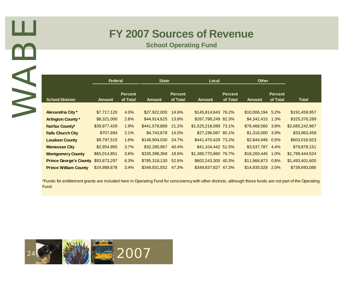### **FY 2007 Sources of Revenue**

|                                                                                                                                                                     | Federal       |                            | <b>State</b>        |                            | Local                 |                            | <b>Other</b>      |                            |                 |
|---------------------------------------------------------------------------------------------------------------------------------------------------------------------|---------------|----------------------------|---------------------|----------------------------|-----------------------|----------------------------|-------------------|----------------------------|-----------------|
| <b>School Division</b>                                                                                                                                              | <b>Amount</b> | <b>Percent</b><br>of Total | <b>Amount</b>       | <b>Percent</b><br>of Total | <b>Amount</b>         | <b>Percent</b><br>of Total | <b>Amount</b>     | <b>Percent</b><br>of Total |                 |
| Alexandria City*                                                                                                                                                    | \$7,717,120   | 4.0%                       | \$27,922,000 14.6%  |                            | \$145,814,643 76.2%   |                            | \$10,006,194 5.2% |                            | \$191,459,957   |
| <b>Arlington County*</b>                                                                                                                                            | \$8,321,000   | 2.6%                       | \$44,914,625 13.8%  |                            | \$267,798,249 82.3%   |                            | \$4,342,415 1.3%  |                            | \$325,376,289   |
| <b>Fairfax County*</b>                                                                                                                                              | \$39,977,429  | 1.9%                       | \$441,578,889 21.2% |                            | \$1,525,218,089 73.1% |                            | \$78,468,560 3.8% |                            | \$2,085,242,967 |
| <b>Falls Church City</b>                                                                                                                                            | \$707,694     | 2.1%                       | \$4,743,678 14.0%   |                            | \$27,196,087 80.1%    |                            | \$1,316,000 3.9%  |                            | \$33,963,459    |
| <b>Loudoun County</b>                                                                                                                                               | \$9,797,515   | 1.6%                       | \$148,904,030 24.7% |                            | \$441,470,429 73.2%   |                            | \$2,844,949 0.5%  |                            | \$603,016,923   |
| <b>Manassas City</b>                                                                                                                                                | \$2,954,955   | 3.7%                       | \$32,280,967 40.4%  |                            | \$41,104,442 51.5%    |                            | \$3,537,787 4.4%  |                            |                 |
| <b>Montgomery County</b>                                                                                                                                            | \$65,014,851  | 3.6%                       | \$335,398,368 18.6% |                            | \$1,380,770,860 76.7% |                            | \$18,260,445 1.0% |                            | \$1,799,444,524 |
| <b>Prince George's County</b>                                                                                                                                       | \$93,873,297  | 6.3%                       | \$785,318,130 52.6% |                            | \$602,243,300 40.3%   |                            | \$11,966,873 0.8% |                            | \$1,493,401,600 |
| <b>Prince William County</b>                                                                                                                                        | \$24,988,678  | 3.4%                       | \$349,931,552 47.3% |                            | \$349,837,827 47.3%   |                            | \$14,935,028 2.0% |                            | \$739,693,085   |
| *Funds for entitlement grants are included here in Operating Fund for consistency with other districts, although these funds are not part of the Operating<br>Fund. |               |                            |                     |                            |                       |                            |                   |                            |                 |

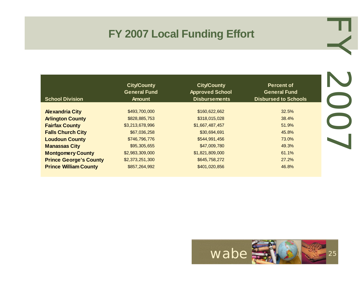### **FY 2007 Local Funding Effort**

| FY 2007 Local Funding Effort  |                                                            |                                                                      |                                                                         |  |  |  |  |
|-------------------------------|------------------------------------------------------------|----------------------------------------------------------------------|-------------------------------------------------------------------------|--|--|--|--|
| <b>School Division</b>        | <b>City/County</b><br><b>General Fund</b><br><b>Amount</b> | <b>City/County</b><br><b>Approved School</b><br><b>Disbursements</b> | <b>Percent of</b><br><b>General Fund</b><br><b>Disbursed to Schools</b> |  |  |  |  |
|                               |                                                            |                                                                      |                                                                         |  |  |  |  |
| <b>Alexandria City</b>        | \$493,700,000                                              | \$160,622,662                                                        | 32.5%                                                                   |  |  |  |  |
| <b>Arlington County</b>       | \$828,885,753                                              | \$318,015,028                                                        | 38.4%                                                                   |  |  |  |  |
| <b>Fairfax County</b>         | \$3,213,678,996                                            | \$1,667,487,457                                                      | 51.9%                                                                   |  |  |  |  |
| <b>Falls Church City</b>      | \$67,036,258                                               | \$30,694,691                                                         | 45.8%                                                                   |  |  |  |  |
| <b>Loudoun County</b>         | \$746,796,776                                              | \$544,991,456                                                        | 73.0%                                                                   |  |  |  |  |
| <b>Manassas City</b>          | \$95,305,655                                               | \$47,009,780                                                         | 49.3%                                                                   |  |  |  |  |
|                               |                                                            |                                                                      | 61.1%                                                                   |  |  |  |  |
| <b>Montgomery County</b>      | \$2,983,309,000                                            | \$1,821,809,000                                                      |                                                                         |  |  |  |  |
| <b>Prince George's County</b> | \$2,373,251,300                                            | \$645,758,272                                                        | 27.2%                                                                   |  |  |  |  |

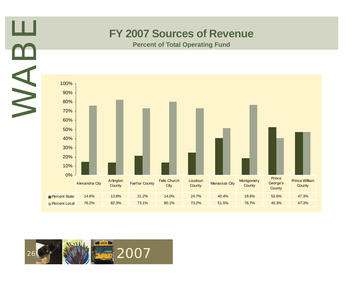### **FY 2007 Sources of Revenue**

**Percent of Total Operating Fund**



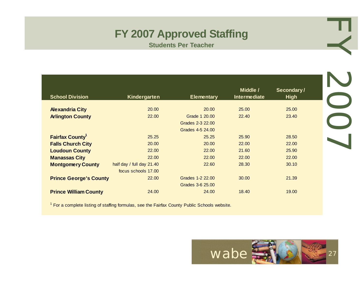# **FY 2007 Approved Staffing**

|                                                   |                           | <b>FY 2007 Approved Staffing</b><br><b>Students Per Teacher</b> |                |                |
|---------------------------------------------------|---------------------------|-----------------------------------------------------------------|----------------|----------------|
|                                                   |                           |                                                                 |                |                |
|                                                   |                           |                                                                 | Middle /       | Secondary/     |
| <b>School Division</b>                            | Kindergarten              | <b>Elementary</b>                                               | Intermediate   | <b>High</b>    |
|                                                   |                           |                                                                 |                |                |
| <b>Alexandria City</b><br><b>Arlington County</b> | 20.00<br>22.00            | 20.00<br>Grade 1 20.00                                          | 25.00<br>22.40 | 25.00<br>23.40 |
|                                                   |                           | Grades 2-3 22.00                                                |                |                |
|                                                   |                           | Grades 4-5 24.00                                                |                |                |
| <b>Fairfax County<sup>1</sup></b>                 | 25.25                     | 25.25                                                           | 25.90          | 28.50          |
| <b>Falls Church City</b>                          | 20.00                     | 20.00                                                           | 22.00          | 22.00          |
| <b>Loudoun County</b>                             | 22.00                     | 22.00                                                           | 21.60          | 25.90          |
| <b>Manassas City</b>                              | 22.00                     | 22.00                                                           | 22.00          | 22.00          |
| <b>Montgomery County</b>                          | half day / full day 21.40 | 22.60                                                           | 28.30          | 30.10          |
|                                                   | focus schools 17.00       |                                                                 |                |                |
|                                                   |                           |                                                                 |                |                |
| <b>Prince George's County</b>                     | 22.00                     | Grades 1-2 22.00                                                | 30.00          | 21.39          |
|                                                   |                           | Grades 3-6 25.00                                                |                |                |

<sup>1</sup> For a complete listing of staffing formulas, see the Fairfax County Public Schools website.

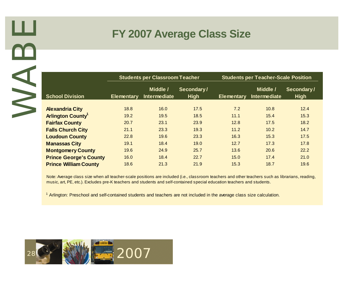### **FY 2007 Average Class Size**

|                                                                                                                                                                                                                                                                                                                                                                                                                   |                   | <b>Students per Classroom Teacher</b> |                           |                   | <b>Students per Teacher-Scale Position</b> |                           |
|-------------------------------------------------------------------------------------------------------------------------------------------------------------------------------------------------------------------------------------------------------------------------------------------------------------------------------------------------------------------------------------------------------------------|-------------------|---------------------------------------|---------------------------|-------------------|--------------------------------------------|---------------------------|
| <b>School Division</b>                                                                                                                                                                                                                                                                                                                                                                                            | <b>Elementary</b> | Middle /<br>Intermediate              | Secondary/<br><b>High</b> | <b>Elementary</b> | Middle /<br>Intermediate                   | Secondary/<br><b>High</b> |
| <b>Alexandria City</b>                                                                                                                                                                                                                                                                                                                                                                                            | 18.8              | 16.0                                  | 17.5                      | 7.2               | 10.8                                       |                           |
| <b>Arlington County<sup>1</sup></b>                                                                                                                                                                                                                                                                                                                                                                               | 19.2              | 19.5                                  | 18.5                      | 11.1              | 15.4                                       |                           |
| <b>Fairfax County</b>                                                                                                                                                                                                                                                                                                                                                                                             | 20.7              | 23.1                                  | 23.9                      | 12.8              | 17.5                                       |                           |
| <b>Falls Church City</b>                                                                                                                                                                                                                                                                                                                                                                                          | 21.1              | 23.3                                  | 19.3                      | 11.2              | 10.2                                       |                           |
| <b>Loudoun County</b>                                                                                                                                                                                                                                                                                                                                                                                             | 22.8              | 19.6                                  | 23.3                      | 16.3              | 15.3                                       |                           |
| <b>Manassas City</b>                                                                                                                                                                                                                                                                                                                                                                                              | 19.1              | 18.4                                  | 19.0                      | 12.7              | 17.3                                       |                           |
| <b>Montgomery County</b>                                                                                                                                                                                                                                                                                                                                                                                          | 19.6              | 24.9                                  | 25.7                      | 13.6              | 20.6                                       |                           |
| <b>Prince George's County</b>                                                                                                                                                                                                                                                                                                                                                                                     | 16.0              | 18.4                                  | 22.7                      | 15.0              | 17.4                                       |                           |
| <b>Prince William County</b>                                                                                                                                                                                                                                                                                                                                                                                      | 18.6              | 21.3                                  | 21.9                      | 15.3              | 18.7                                       |                           |
| Note: Average class size when all teacher-scale positions are included (i.e., classroom teachers and other teachers such as librarians, reading,<br>music, art, PE, etc.). Excludes pre-K teachers and students and self-contained special education teachers and students.<br><sup>1</sup> Arlington: Preschool and self-contained students and teachers are not included in the average class size calculation. |                   |                                       |                           |                   |                                            |                           |

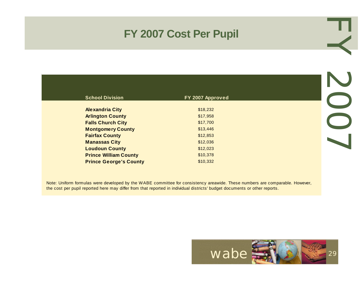### **FY 2007 Cost Per Pupil**

| <b>School Division</b>        | FY 2007 Approved |
|-------------------------------|------------------|
|                               |                  |
| <b>Alexandria City</b>        | \$18,232         |
| <b>Arlington County</b>       | \$17,958         |
| <b>Falls Church City</b>      | \$17,700         |
| <b>Montgomery County</b>      | \$13,446         |
| <b>Fairfax County</b>         | \$12,853         |
| <b>Manassas City</b>          | \$12,036         |
| <b>Loudoun County</b>         | \$12,023         |
| <b>Prince William County</b>  | \$10,378         |
| <b>Prince George's County</b> | \$10,332         |

EY 2007 LOOZ

Note: Uniform formulas were developed by the WABE committee for consistency areawide. These numbers are comparable. However, the cost per pupil reported here may differ from that reported in individual districts' budget documents or other reports.

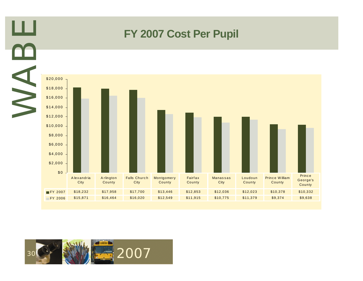

### **FY 2007 Cost Per Pupil**



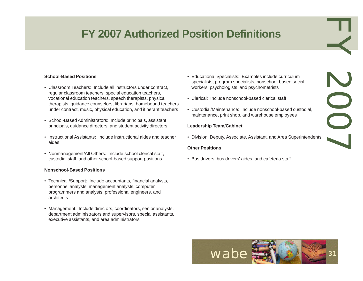# **FY 2007 Authorized Position Definitions**

#### **School-Based Positions**

- Classroom Teachers: Include all instructors under contract, regular classroom teachers, special education teachers, vocational education teachers, speech therapists, physical therapists, guidance counselors, librarians, homebound teachers under contract, music, physical education, and itinerant teachers
- School-Based Administrators: Include principals, assistant principals, guidance directors, and student activity directors
- Instructional Assistants: Include instructional aides and teacher aides
- Nonmanagement/All Others: Include school clerical staff, custodial staff, and other school-based support positions

#### **Nonschool-Based Positions**

- Technical /Support: Include accountants, financial analysts, personnel analysts, management analysts, computer programmers and analysts, professional engineers, and architects
- Management: Include directors, coordinators, senior analysts, department administrators and supervisors, special assistants, executive assistants, and area administrators

• Educational Specialists: Examples include curriculum specialists, program specialists, nonschool-based social workers, psychologists, and psychometrists

EY 2007

SOOT

- Clerical: Include nonschool-based clerical staff
- Custodial/Maintenance: Include nonschool-based custodial, maintenance, print shop, and warehouse employees

#### **Leadership Team/Cabinet**

• Division, Deputy, Associate, Assistant, and Area Superintendents

#### **Other Positions**

• Bus drivers, bus drivers' aides, and cafeteria staff

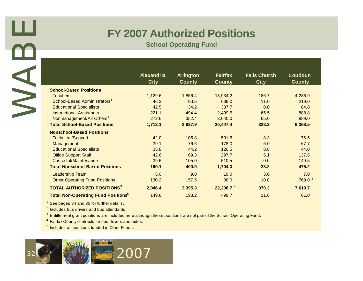### **FY 2007 Authorized Positions**

|                                                                                                                                                                                                                                                                                                                                                                           | Alexandria<br><b>City</b> | <b>Arlington</b><br><b>County</b> | <b>Fairfax</b><br><b>County</b> | <b>Falls Church</b><br><b>City</b> | Loudoun<br><b>County</b> |
|---------------------------------------------------------------------------------------------------------------------------------------------------------------------------------------------------------------------------------------------------------------------------------------------------------------------------------------------------------------------------|---------------------------|-----------------------------------|---------------------------------|------------------------------------|--------------------------|
| <b>School-Based Positions</b>                                                                                                                                                                                                                                                                                                                                             |                           |                                   |                                 |                                    |                          |
| <b>Teachers</b>                                                                                                                                                                                                                                                                                                                                                           | 1,129.6                   | 1,856.4                           | 13,934.2                        | 186.7                              | 4,286.9                  |
| School-Based Administrators <sup>1</sup>                                                                                                                                                                                                                                                                                                                                  | 46.3                      | 90.5                              | 636.0                           | 11.0                               | 219.0                    |
| <b>Educational Specialists</b>                                                                                                                                                                                                                                                                                                                                            | 42.5                      | 34.2                              | 337.7                           | 0.0                                |                          |
| <b>Instructional Assistants</b>                                                                                                                                                                                                                                                                                                                                           | 221.1                     | 494.4                             | 2,499.5                         | 65.5                               | 888.8                    |
| Nonmanagement/All Others <sup>1</sup>                                                                                                                                                                                                                                                                                                                                     | 272.6                     | 352.4                             | 3,040.0                         | 65.0                               | 889.0                    |
| <b>Total School-Based Positions</b>                                                                                                                                                                                                                                                                                                                                       | 1,712.1                   | 2,827.9                           | 20,447.4                        | 328.2                              | 6,368.5                  |
| <b>Nonschool-Based Positions</b>                                                                                                                                                                                                                                                                                                                                          |                           |                                   |                                 |                                    |                          |
| <b>Technical/Support</b>                                                                                                                                                                                                                                                                                                                                                  | 42.0                      | 105.8                             | 591.6                           | 8.3                                |                          |
| Management                                                                                                                                                                                                                                                                                                                                                                | 39.1                      | 76.6                              | 178.0                           | 6.0                                |                          |
| <b>Educational Specialists</b>                                                                                                                                                                                                                                                                                                                                            | 35.8                      | 44.2                              | 126.5                           | 8.8                                |                          |
| <b>Office Support Staff</b>                                                                                                                                                                                                                                                                                                                                               | 42.6                      | 69.3                              | 297.7                           | 5.1                                | 137.5                    |
| <b>Custodial/Maintenance</b>                                                                                                                                                                                                                                                                                                                                              | 39.6                      | 105.0                             | 510.5                           | 0.0                                | 149.5                    |
| <b>Total Nonschool-Based Positions</b>                                                                                                                                                                                                                                                                                                                                    | 199.1                     | 400.9                             | 1,704.3                         | 28.2                               | 475.2                    |
| Leadership Team                                                                                                                                                                                                                                                                                                                                                           | 5.0                       | 9.0                               | 19.0                            | 3.0                                |                          |
| <b>Other Operating Fund Positions</b>                                                                                                                                                                                                                                                                                                                                     | 130.2                     | 157.5                             | 36.0                            | 10.8                               | 769.0 <sup>2</sup>       |
| <b>TOTAL AUTHORIZED POSITIONS3</b>                                                                                                                                                                                                                                                                                                                                        | 2,046.4                   | 3,395.3                           | 22,206.7 <sup>4</sup>           | 370.2                              | 7,619.7                  |
| <b>Total Non-Operating Fund Positions</b> <sup>5</sup>                                                                                                                                                                                                                                                                                                                    | 149.8                     | 193.2                             | 499.7                           | 11.6                               |                          |
| $1$ See pages 34 and 35 for further details.<br><sup>2</sup> Includes bus drivers and bus attendants.<br><sup>3</sup> Entitlement grant positions are included here although these positions are not part of the School Operating Fund.<br><sup>4</sup> Fairfax County contracts for bus drivers and aides.<br><sup>5</sup> Includes all positions funded in Other Funds. |                           |                                   |                                 |                                    |                          |

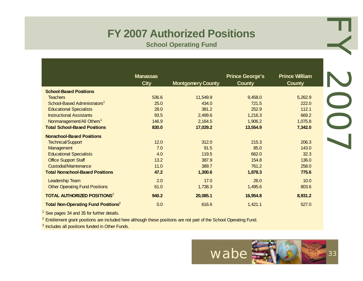# **FY 2007 Authorized Positions**

|                                                        |                                | <b>FY 2007 Authorized Positions</b><br><b>School Operating Fund</b> |                                         |                                 |
|--------------------------------------------------------|--------------------------------|---------------------------------------------------------------------|-----------------------------------------|---------------------------------|
|                                                        | <b>Manassas</b><br><b>City</b> | <b>Montgomery County</b>                                            | <b>Prince George's</b><br><b>County</b> | <b>Prince William</b><br>County |
| <b>School-Based Positions</b>                          |                                |                                                                     |                                         |                                 |
| <b>Teachers</b>                                        | 536.6                          | 11,549.9                                                            | 9,458.0                                 | 5,262.9                         |
| School-Based Administrators <sup>1</sup>               | 25.0                           | 434.0                                                               | 721.5                                   | 222.0                           |
| <b>Educational Specialists</b>                         | 28.0                           | 381.2                                                               | 252.9                                   | 112.1                           |
| <b>Instructional Assistants</b>                        | 93.5                           | 2,499.6                                                             | 1,216.3                                 | 669.2                           |
| Nonmanagement/All Others <sup>1</sup>                  | 146.9                          | 2,164.5                                                             | 1,906.2                                 | 1,075.8                         |
| <b>Total School-Based Positions</b>                    | 830.0                          | 17,029.2                                                            | 13,554.9                                | 7,342.0                         |
| <b>Nonschool-Based Positions</b>                       |                                |                                                                     |                                         |                                 |
| <b>Technical/Support</b>                               | 12.0                           | 312.0                                                               | 215.3                                   | 206.3                           |
| Management                                             | 7.0                            | 91.5                                                                | 85.0                                    | 143.0                           |
| <b>Educational Specialists</b>                         | 4.0                            | 119.5                                                               | 662.0                                   | 32.3                            |
| <b>Office Support Staff</b>                            | 13.2                           | 387.9                                                               | 154.8                                   | 136.0                           |
| Custodial/Maintenance                                  | 11.0                           | 389.7                                                               | 761.2                                   | 258.0                           |
| <b>Total Nonschool-Based Positions</b>                 | 47.2                           | 1,300.6                                                             | 1,878.3                                 | 775.6                           |
| Leadership Team                                        | 2.0                            | 17.0                                                                | 26.0                                    | 10.0                            |
| <b>Other Operating Fund Positions</b>                  | 61.0                           | 1,738.3                                                             | 1,495.6                                 | 803.6                           |
| <b>TOTAL AUTHORIZED POSITIONS<sup>2</sup></b>          | 940.2                          | 20,085.1                                                            | 16,954.8                                | 8,931.2                         |
| <b>Total Non-Operating Fund Positions</b> <sup>3</sup> | 0.0                            | 616.6                                                               | 1,421.1                                 | 527.0                           |

See pages 34 and 35 for further details.

<sup>2</sup> Entitlement grant positions are included here although these positions are not part of the School Operating Fund.

<sup>3</sup> Includes all positions funded in Other Funds.

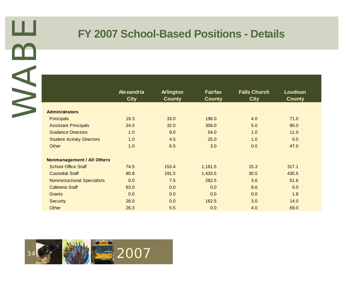### **FY 2007 School-Based Positions - Details**

|                                     | Alexandria<br><b>City</b> | Arlington<br><b>County</b> | <b>Fairfax</b><br><b>County</b> | <b>Falls Church</b><br><b>City</b> | Loudoun<br><b>County</b> |
|-------------------------------------|---------------------------|----------------------------|---------------------------------|------------------------------------|--------------------------|
| <b>Administrators</b>               |                           |                            |                                 |                                    |                          |
| <b>Principals</b>                   | 19.3                      | 33.0                       | 196.0                           | 4.0                                | 71.0                     |
| <b>Assistant Principals</b>         | 24.0                      | 32.0                       | 358.0                           | 5.0                                | 90.0                     |
| <b>Guidance Directors</b>           | 1.0                       | 9.0                        | 54.0                            | 1.0                                | 11.0                     |
| <b>Student Activity Directors</b>   | 1.0                       | 4.5                        | 25.0                            | 1.0                                | 0.0                      |
| Other                               | 1.0                       | 6.5                        | 3.0                             | 0.0                                | 47.0                     |
| <b>Nonmanagement / All Others</b>   |                           |                            |                                 |                                    |                          |
| <b>School Office Staff</b>          | 74.5                      | 153.4                      | 1,161.5                         | 15.3                               | 317.1                    |
| <b>Custodial Staff</b>              | 80.8                      | 191.5                      | 1,433.5                         | 30.5                               | 435.5                    |
| <b>Noninstructional Specialists</b> | 0.0                       | 7.5                        | 282.5                           | 3.6                                | 51.6                     |
| <b>Cafeteria Staff</b>              | 63.0                      | 0.0                        | 0.0                             | 8.6                                | 0.0                      |
| <b>Grants</b>                       | 0.0                       | 0.0                        | 0.0                             | 0.0                                | 1.8                      |
| <b>Security</b>                     | 28.0                      | 0.0                        | 162.5                           | 3.0                                | 14.0                     |
| Other                               | 26.3                      | 5.5                        | 0.0                             | 4.0                                | 69.0                     |

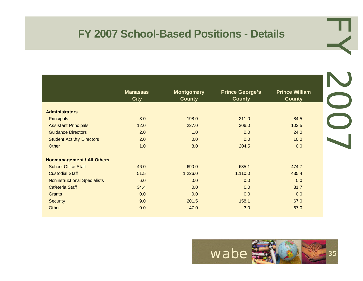### **FY 2007 School-Based Positions - Details**

|                                     | <b>Manassas</b> | <b>Montgomery</b> | <b>Prince George's</b> | <b>Prince William</b> |
|-------------------------------------|-----------------|-------------------|------------------------|-----------------------|
|                                     | <b>City</b>     | <b>County</b>     | <b>County</b>          | <b>County</b>         |
|                                     |                 |                   |                        |                       |
| <b>Administrators</b>               |                 |                   |                        |                       |
| <b>Principals</b>                   | 8.0             | 198.0             | 211.0                  | 84.5                  |
| <b>Assistant Principals</b>         | 12.0            | 227.0             | 306.0                  | 103.5                 |
| <b>Guidance Directors</b>           | 2.0             | 1.0               | 0.0                    | 24.0                  |
| <b>Student Activity Directors</b>   | 2.0             | 0.0               | 0.0                    | 10.0                  |
| Other                               | 1.0             | 8.0               | 204.5                  | 0.0                   |
| <b>Nonmanagement / All Others</b>   |                 |                   |                        |                       |
| <b>School Office Staff</b>          | 46.0            | 690.0             | 635.1                  | 474.7                 |
| <b>Custodial Staff</b>              | 51.5            | 1,226.0           | 1,110.0                | 435.4                 |
| <b>Noninstructional Specialists</b> | 6.0             | 0.0               | 0.0                    | 0.0                   |
| Cafeteria Staff                     | 34.4            | 0.0               | 0.0                    | 31.7                  |
| <b>Grants</b>                       | 0.0             | 0.0               | 0.0                    | 0.0                   |
| <b>Security</b>                     | 9.0             | 201.5             | 158.1                  | 67.0                  |
| Other                               | 0.0             | 47.0              | 3.0                    | 67.0                  |



EY 2007 1002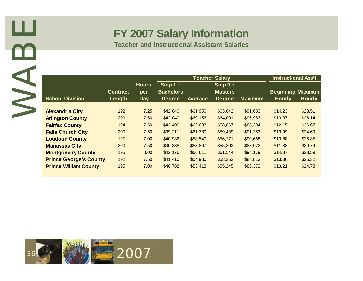### **FY 2007 Salary Information**

|                               | <b>Contract</b> | <b>Hours</b><br>per | Step $1 +$<br><b>Bachelors</b> |          | <b>Teacher Salary</b><br>Step $9+$<br><b>Masters</b> |                | <b>Beginning Maximum</b> | <b>Instructional Ass't.</b> |
|-------------------------------|-----------------|---------------------|--------------------------------|----------|------------------------------------------------------|----------------|--------------------------|-----------------------------|
| <b>School Division</b>        | Length          | <b>Day</b>          | <b>Degree</b>                  | Average  | <b>Degree</b>                                        | <b>Maximum</b> | <b>Hourly</b>            | <b>Hourly</b>               |
| <b>Alexandria City</b>        | 192             | 7.25                | \$42,040                       | \$61,956 | \$63,642                                             | \$91,633       | \$14.23                  | \$23.51                     |
| <b>Arlington County</b>       | 200             | 7.50                | \$42,040                       | \$69,156 | \$64,001                                             | \$96,983       | \$13.37                  | \$26.14                     |
| <b>Fairfax County</b>         | 194             | 7.50                | \$42,400                       | \$62,638 | \$58,067                                             | \$88,394       | \$12.15                  | \$26.67                     |
| <b>Falls Church City</b>      | 200             | 7.50                | \$39,211                       | \$61,780 | \$59,489                                             | \$91,353       | \$13.99                  | \$24.69                     |
| <b>Loudoun County</b>         | 197             | 7.00                | \$40,986                       | \$58,540 | \$56,271                                             | \$90,668       | \$13.88                  | \$25.85                     |
| <b>Manassas City</b>          | 200             | 7.50                | \$40,838                       | \$58,867 | \$55,303                                             | \$88,972       | \$11.88                  | \$20.79                     |
| <b>Montgomery County</b>      | 195             | 8.00                | \$42,176                       | \$66,611 | \$61,544                                             | \$94,179       | \$14.87                  | \$23.59                     |
| <b>Prince George's County</b> | 192             | 7.50                | \$41,410                       | \$54,980 | \$58,253                                             | \$84,813       | \$13.36                  | \$25.32                     |
| <b>Prince William County</b>  | 195             | 7.00                | \$40,788                       | \$53,413 | \$55,245                                             | \$86,372       | \$13.21                  | \$24.78                     |
| 36 8 1 1 2007                 |                 |                     |                                |          |                                                      |                |                          |                             |

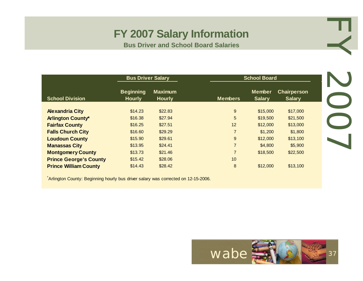### **FY 2007 Salary Information**

**Bus Driver and School Board Salaries**

|                               | <b>Bus Driver Salary</b>          |                                 |                | <b>School Board</b>            |                                     |
|-------------------------------|-----------------------------------|---------------------------------|----------------|--------------------------------|-------------------------------------|
| <b>School Division</b>        | <b>Beginning</b><br><b>Hourly</b> | <b>Maximum</b><br><b>Hourly</b> | <b>Members</b> | <b>Member</b><br><b>Salary</b> | <b>Chairperson</b><br><b>Salary</b> |
| <b>Alexandria City</b>        | \$14.23                           | \$22.83                         | 9              | \$15,000                       | \$17,000                            |
| <b>Arlington County*</b>      | \$16.38                           | \$27.94                         | 5              | \$19,500                       | \$21,500                            |
| <b>Fairfax County</b>         | \$16.25                           | \$27.51                         | 12             | \$12,000                       | \$13,000                            |
| <b>Falls Church City</b>      | \$16.60                           | \$29.29                         | $\overline{7}$ | \$1,200                        | \$1,800                             |
| <b>Loudoun County</b>         | \$15.90                           | \$29.61                         | 9              | \$12,000                       | \$13,100                            |
| <b>Manassas City</b>          | \$13.95                           | \$24.41                         | $\overline{7}$ | \$4,800                        | \$5,900                             |
| <b>Montgomery County</b>      | \$13.73                           | \$21.46                         | $\overline{7}$ | \$18,500                       | \$22,500                            |
| <b>Prince George's County</b> | \$15.42                           | \$28.06                         | 10             |                                |                                     |
| <b>Prince William County</b>  | \$14.43                           | \$28.42                         | 8              | \$12,000                       | \$13,100                            |

\* Arlington County: Beginning hourly bus driver salary was corrected on 12-15-2006.



EY 2007 LOOL.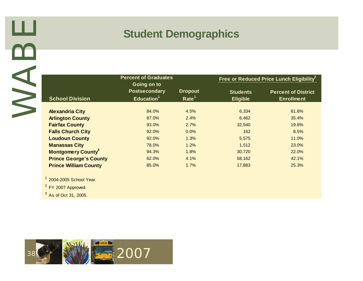### **Student Demographics**

|                                      | <b>Percent of Graduates</b>                                   |                                     |                                    | Free or Reduced Price Lunch Eligibility <sup>2</sup> |
|--------------------------------------|---------------------------------------------------------------|-------------------------------------|------------------------------------|------------------------------------------------------|
| <b>School Division</b>               | Going on to<br><b>Postsecondary</b><br>Education <sup>1</sup> | <b>Dropout</b><br>Rate <sup>1</sup> | <b>Students</b><br><b>Eligible</b> | <b>Percent of District</b><br><b>Enrollment</b>      |
| <b>Alexandria City</b>               | 84.0%                                                         | 4.5%                                | 6,334                              | 61.6%                                                |
| <b>Arlington County</b>              | 87.0%                                                         | 2.4%                                | 6,462                              | 35.4%                                                |
| <b>Fairfax County</b>                | 93.0%                                                         | 2.7%                                | 32,540                             | 19.8%                                                |
| <b>Falls Church City</b>             | 92.0%                                                         | 0.0%                                | 162                                | 8.5%                                                 |
| <b>Loudoun County</b>                | 92.0%                                                         | 1.3%                                | 5,575                              | 11.0%                                                |
| <b>Manassas City</b>                 | 78.0%                                                         | 1.2%                                | 1,512                              | 23.0%                                                |
| <b>Montgomery County<sup>3</sup></b> | 94.3%                                                         | 1.8%                                | 30,720                             | 22.0%                                                |
| <b>Prince George's County</b>        | 62.0%                                                         | 4.1%                                | 58,162                             | 42.1%                                                |
| <b>Prince William County</b>         | 85.0%                                                         | 1.7%                                | 17,883                             | 25.3%                                                |
| <sup>1</sup> 2004-2005 School Year.  |                                                               |                                     |                                    |                                                      |
| <sup>2</sup> FY 2007 Approved.       |                                                               |                                     |                                    |                                                      |
| <sup>3</sup> As of Oct 31, 2005.     |                                                               |                                     |                                    |                                                      |

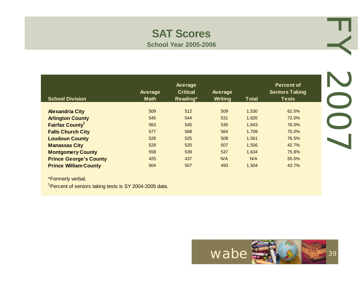### **SAT Scores School Year 2005-2006**

| <b>School Division</b>        | Average<br><b>Math</b> | Average<br><b>Critical</b><br>Reading* | Average<br>Writing | <b>Total</b> | <b>Percent of</b><br><b>Seniors Taking</b><br><b>Tests</b> |
|-------------------------------|------------------------|----------------------------------------|--------------------|--------------|------------------------------------------------------------|
| <b>Alexandria City</b>        | 509                    | 512                                    | 509                | 1,530        | 62.5%                                                      |
| <b>Arlington County</b>       | 545                    | 544                                    | 531                | 1,620        | 72.0%                                                      |
| <b>Fairfax County</b>         | 563                    | 545                                    | 535                | 1,643        | 76.0%                                                      |
| <b>Falls Church City</b>      | 577                    | 568                                    | 564                | 1,709        | 75.0%                                                      |
| <b>Loudoun County</b>         | 528                    | 525                                    | 508                | 1,561        | 76.5%                                                      |
| <b>Manassas City</b>          | 529                    | 520                                    | 507                | 1.556        | 42.7%                                                      |
| <b>Montgomery County</b>      | 558                    | 539                                    | 537                | 1,634        | 75.8%                                                      |
| <b>Prince George's County</b> | 425                    | 437                                    | N/A                | N/A          | 55.0%                                                      |
| <b>Prince William County</b>  | 504                    | 507                                    | 493                | 1,504        | 43.7%                                                      |

\*Formerly verbal.

<sup>1</sup> Percent of seniors taking tests is SY 2004-2005 data.



EY 2007 1002

л.

≺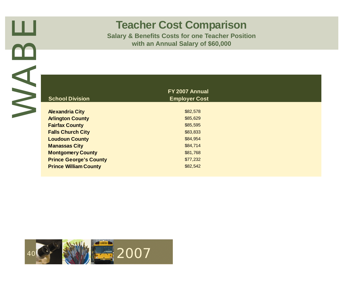# **Teacher Cost Comparison**

| <b>School Division</b>                            | FY 2007 Annual<br><b>Employer Cost</b> |
|---------------------------------------------------|----------------------------------------|
| <b>Alexandria City</b>                            | \$82,578                               |
| <b>Arlington County</b>                           | \$85,629                               |
| <b>Fairfax County</b><br><b>Falls Church City</b> | \$85,595<br>\$83,833                   |
| <b>Loudoun County</b>                             | \$84,954                               |
| <b>Manassas City</b>                              | \$84,714                               |
| <b>Montgomery County</b>                          | \$81,768                               |
| <b>Prince George's County</b>                     | \$77,232                               |
| <b>Prince William County</b>                      | \$82,542                               |
|                                                   |                                        |

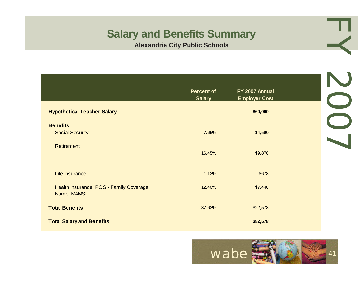| <b>Salary and Benefits Summary</b>                     | <b>Alexandria City Public Schools</b> |                                        |     |
|--------------------------------------------------------|---------------------------------------|----------------------------------------|-----|
|                                                        |                                       |                                        |     |
|                                                        | <b>Percent of</b><br><b>Salary</b>    | FY 2007 Annual<br><b>Employer Cost</b> |     |
| <b>Hypothetical Teacher Salary</b>                     |                                       | \$60,000                               |     |
| <b>Benefits</b><br><b>Social Security</b>              | 7.65%                                 | \$4,590                                | SOS |
| <b>Retirement</b>                                      | 16.45%                                | \$9,870                                |     |
| Life Insurance                                         | 1.13%                                 | \$678                                  |     |
| Health Insurance: POS - Family Coverage<br>Name: MAMSI | 12.40%                                | \$7,440                                |     |
| <b>Total Benefits</b>                                  | 37.63%                                | \$22,578                               |     |
| <b>Total Salary and Benefits</b>                       |                                       | \$82,578                               |     |

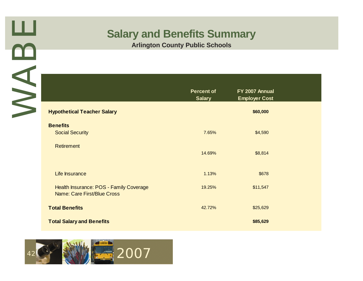|                                                                               | <b>Arlington County Public Schools</b> |                                        |
|-------------------------------------------------------------------------------|----------------------------------------|----------------------------------------|
|                                                                               | <b>Percent of</b><br><b>Salary</b>     | FY 2007 Annual<br><b>Employer Cost</b> |
| <b>Hypothetical Teacher Salary</b>                                            |                                        | \$60,000                               |
| <b>Benefits</b><br><b>Social Security</b>                                     | 7.65%                                  | \$4,590                                |
| <b>Retirement</b>                                                             | 14.69%                                 | \$8,814                                |
| Life Insurance                                                                | 1.13%                                  | \$678                                  |
| Health Insurance: POS - Family Coverage<br><b>Name: Care First/Blue Cross</b> | 19.25%                                 | \$11,547                               |
| <b>Total Benefits</b>                                                         | 42.72%                                 | \$25,629                               |
| <b>Total Salary and Benefits</b>                                              |                                        | \$85,629                               |

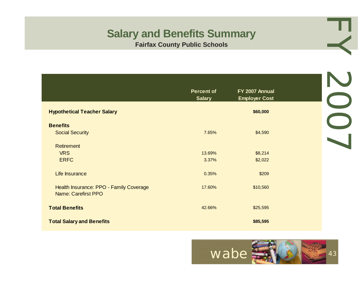| <b>Salary and Benefits Summary</b>                                    | <b>Fairfax County Public Schools</b> |                                        |     |
|-----------------------------------------------------------------------|--------------------------------------|----------------------------------------|-----|
|                                                                       |                                      |                                        |     |
|                                                                       | <b>Percent of</b><br><b>Salary</b>   | FY 2007 Annual<br><b>Employer Cost</b> | SOS |
| <b>Hypothetical Teacher Salary</b>                                    |                                      | \$60,000                               |     |
| <b>Benefits</b>                                                       |                                      |                                        |     |
| <b>Social Security</b>                                                | 7.65%                                | \$4,590                                |     |
| <b>Retirement</b>                                                     |                                      |                                        |     |
| <b>VRS</b>                                                            | 13.69%                               | \$8,214                                |     |
| <b>ERFC</b>                                                           | 3.37%                                | \$2,022                                |     |
| Life Insurance                                                        | 0.35%                                | \$209                                  |     |
| Health Insurance: PPO - Family Coverage<br><b>Name: Carefirst PPO</b> | 17.60%                               | \$10,560                               |     |
| <b>Total Benefits</b>                                                 | 42.66%                               | \$25,595                               |     |
| <b>Total Salary and Benefits</b>                                      |                                      | \$85,595                               |     |

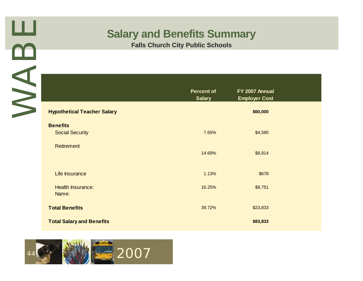

|                                           | <b>Falls Church City Public Schools</b> |                                        |
|-------------------------------------------|-----------------------------------------|----------------------------------------|
|                                           | <b>Percent of</b><br><b>Salary</b>      | FY 2007 Annual<br><b>Employer Cost</b> |
| <b>Hypothetical Teacher Salary</b>        |                                         | \$60,000                               |
| <b>Benefits</b><br><b>Social Security</b> | 7.65%                                   | \$4,590                                |
| <b>Retirement</b>                         | 14.69%                                  | \$8,814                                |
| Life Insurance                            | 1.13%                                   | \$678                                  |
| <b>Health Insurance:</b><br>Name:         | 16.25%                                  | \$9,751                                |
| <b>Total Benefits</b>                     | 39.72%                                  | \$23,833                               |
| <b>Total Salary and Benefits</b>          |                                         | \$83,833                               |

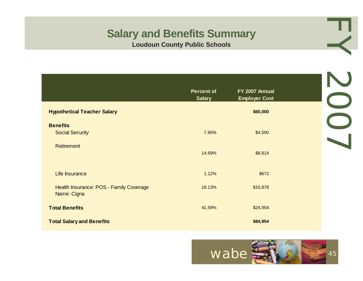| <b>Salary and Benefits Summary</b><br><b>Loudoun County Public Schools</b> |                                    |                                        |     |  |
|----------------------------------------------------------------------------|------------------------------------|----------------------------------------|-----|--|
|                                                                            |                                    |                                        |     |  |
|                                                                            | <b>Percent of</b><br><b>Salary</b> | FY 2007 Annual<br><b>Employer Cost</b> |     |  |
| <b>Hypothetical Teacher Salary</b>                                         |                                    | \$60,000                               |     |  |
| <b>Benefits</b><br><b>Social Security</b>                                  | 7.65%                              | \$4,590                                | SOS |  |
| <b>Retirement</b>                                                          | 14.69%                             | \$8,814                                |     |  |
| Life Insurance                                                             | 1.12%                              | \$672                                  |     |  |
| Health Insurance: POS - Family Coverage<br>Name: Cigna                     | 18.13%                             | \$10,878                               |     |  |
| <b>Total Benefits</b>                                                      | 41.59%                             | \$24,954                               |     |  |
| <b>Total Salary and Benefits</b>                                           |                                    | \$84,954                               |     |  |

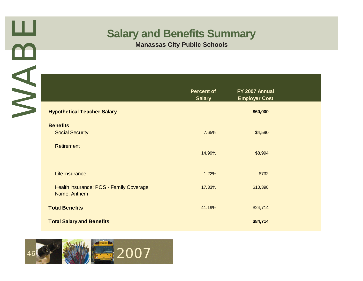|                                                         | <b>Percent of</b><br><b>Salary</b> | FY 2007 Annual<br><b>Employer Cost</b> |
|---------------------------------------------------------|------------------------------------|----------------------------------------|
| <b>Hypothetical Teacher Salary</b>                      |                                    | \$60,000                               |
| <b>Benefits</b><br><b>Social Security</b>               | 7.65%                              | \$4,590                                |
| <b>Retirement</b>                                       | 14.99%                             | \$8,994                                |
| Life Insurance                                          | 1.22%                              | \$732                                  |
| Health Insurance: POS - Family Coverage<br>Name: Anthem | 17.33%                             | \$10,398                               |
| <b>Total Benefits</b>                                   | 41.19%                             | \$24,714                               |
| <b>Total Salary and Benefits</b>                        |                                    | \$84,714                               |

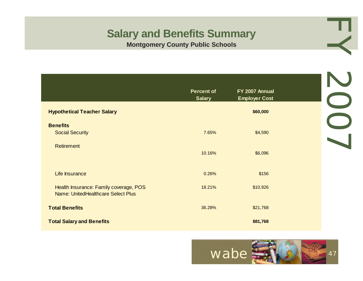| <b>Salary and Benefits Summary</b><br><b>Montgomery County Public Schools</b> |                                    |                                        |     |  |
|-------------------------------------------------------------------------------|------------------------------------|----------------------------------------|-----|--|
|                                                                               |                                    |                                        |     |  |
|                                                                               | <b>Percent of</b><br><b>Salary</b> | FY 2007 Annual<br><b>Employer Cost</b> | SOS |  |
| <b>Hypothetical Teacher Salary</b>                                            |                                    | \$60,000                               |     |  |
| <b>Benefits</b><br><b>Social Security</b>                                     | 7.65%                              | \$4,590                                |     |  |
| <b>Retirement</b>                                                             | 10.16%                             | \$6,096                                |     |  |
| Life Insurance                                                                | 0.26%                              | \$156                                  |     |  |
| Health Insurance: Family coverage, POS<br>Name: UnitedHealthcare Select Plus  | 18.21%                             | \$10,926                               |     |  |
| <b>Total Benefits</b>                                                         | 36.28%                             | \$21,768                               |     |  |
| <b>Total Salary and Benefits</b>                                              |                                    | \$81,768                               |     |  |

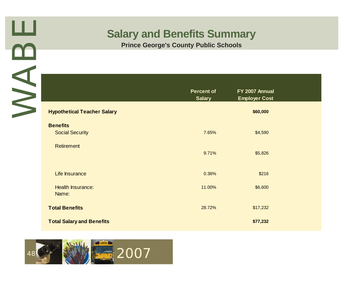

|                                           | <b>Percent of</b><br><b>Salary</b> | FY 2007 Annual<br><b>Employer Cost</b> |
|-------------------------------------------|------------------------------------|----------------------------------------|
| <b>Hypothetical Teacher Salary</b>        |                                    | \$60,000                               |
| <b>Benefits</b><br><b>Social Security</b> | 7.65%                              | \$4,590                                |
| <b>Retirement</b>                         | 9.71%                              | \$5,826                                |
| Life Insurance                            | 0.36%                              | \$216                                  |
| <b>Health Insurance:</b><br>Name:         | 11.00%                             | \$6,600                                |
| <b>Total Benefits</b>                     | 28.72%                             | \$17,232                               |
| <b>Total Salary and Benefits</b>          |                                    | \$77,232                               |

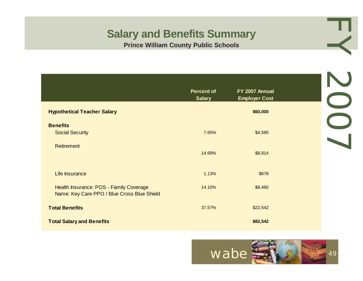| <b>Salary and Benefits Summary</b><br><b>Prince William County Public Schools</b>      |                                    |                                        |     |  |
|----------------------------------------------------------------------------------------|------------------------------------|----------------------------------------|-----|--|
|                                                                                        |                                    |                                        |     |  |
|                                                                                        | <b>Percent of</b><br><b>Salary</b> | FY 2007 Annual<br><b>Employer Cost</b> | SOS |  |
| <b>Hypothetical Teacher Salary</b>                                                     |                                    | \$60,000                               |     |  |
| <b>Benefits</b><br><b>Social Security</b>                                              | 7.65%                              | \$4,590                                |     |  |
| <b>Retirement</b>                                                                      | 14.69%                             | \$8,814                                |     |  |
| Life Insurance                                                                         | 1.13%                              | \$678                                  |     |  |
| Health Insurance: POS - Family Coverage<br>Name: Key Care PPO / Blue Cross Blue Shield | 14.10%                             | \$8,460                                |     |  |
| <b>Total Benefits</b>                                                                  | 37.57%                             | \$22,542                               |     |  |
| <b>Total Salary and Benefits</b>                                                       |                                    | \$82,542                               |     |  |

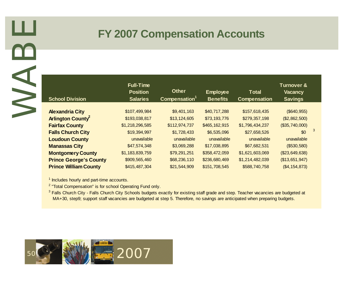# **FY 2007 Compensation Accounts**

| <b>School Division</b>                                                                                                                                                                                                                                                                                                                                                                                         | <b>Full-Time</b><br><b>Position</b><br><b>Salaries</b> | <b>Other</b><br>Compensation <sup>1</sup> | <b>Employee</b><br><b>Benefits</b> | <b>Total</b><br><b>Compensation</b> | <b>Turnover &amp;</b><br><b>Vacancy</b><br><b>Savings</b> |
|----------------------------------------------------------------------------------------------------------------------------------------------------------------------------------------------------------------------------------------------------------------------------------------------------------------------------------------------------------------------------------------------------------------|--------------------------------------------------------|-------------------------------------------|------------------------------------|-------------------------------------|-----------------------------------------------------------|
| <b>Alexandria City</b>                                                                                                                                                                                                                                                                                                                                                                                         | \$107,499,984                                          | \$9,401,163                               | \$40,717,288                       | \$157,618,435                       | (\$640, 955)                                              |
| <b>Arlington County</b>                                                                                                                                                                                                                                                                                                                                                                                        | \$193,038,817                                          | \$13,124,605                              | \$73,193,776                       | \$279,357,198                       | (\$2,862,500)                                             |
| <b>Fairfax County</b>                                                                                                                                                                                                                                                                                                                                                                                          | \$1,218,296,585                                        | \$112,974,737                             | \$465,162,915                      | \$1,796,434,237                     | (\$35,740,000)                                            |
| <b>Falls Church City</b>                                                                                                                                                                                                                                                                                                                                                                                       | \$19,394,997                                           | \$1,728,433                               | \$6,535,096                        | \$27,658,526                        |                                                           |
| <b>Loudoun County</b>                                                                                                                                                                                                                                                                                                                                                                                          | unavailable                                            | unavailable                               | unavailable                        | unavailable                         | unavailable                                               |
| <b>Manassas City</b>                                                                                                                                                                                                                                                                                                                                                                                           | \$47,574,348                                           | \$3,069,288                               | \$17,038,895                       | \$67,682,531                        | (\$530,580)                                               |
| <b>Montgomery County</b>                                                                                                                                                                                                                                                                                                                                                                                       | \$1,183,839,759                                        | \$79,291,251                              | \$358,472,059                      | \$1,621,603,069                     | (\$23,649,638)                                            |
| <b>Prince George's County</b>                                                                                                                                                                                                                                                                                                                                                                                  | \$909,565,460                                          | \$68,236,110                              | \$236,680,469                      | \$1,214,482,039                     | (\$13,651,947)                                            |
| <b>Prince William County</b>                                                                                                                                                                                                                                                                                                                                                                                   | \$415,487,304                                          | \$21,544,909                              | \$151,708,545                      | \$588,740,758                       | (\$4, 154, 873)                                           |
| <sup>1</sup> Includes hourly and part-time accounts.<br><sup>2</sup> "Total Compensation" is for school Operating Fund only.<br><sup>3</sup> Falls Church City - Falls Church City Schools budgets exactly for existing staff grade and step. Teacher vacancies are budgeted at<br>MA+30, step9; support staff vacancies are budgeted at step 5. Therefore, no savings are anticipated when preparing budgets. |                                                        |                                           |                                    |                                     |                                                           |